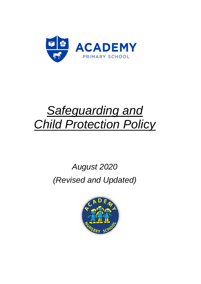

# *Safeguarding and Child Protection Policy*

# *August 2020 (Revised and Updated)*

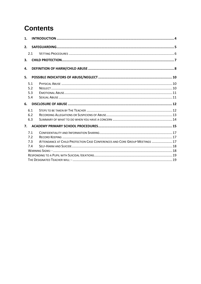## **Contents**

| 1. |                          |                                                                             |  |  |  |  |  |
|----|--------------------------|-----------------------------------------------------------------------------|--|--|--|--|--|
| 2. |                          |                                                                             |  |  |  |  |  |
|    | 2.1                      |                                                                             |  |  |  |  |  |
| 3. |                          |                                                                             |  |  |  |  |  |
| 4. |                          |                                                                             |  |  |  |  |  |
| 5. |                          |                                                                             |  |  |  |  |  |
|    | 5.1<br>5.2<br>5.3<br>5.4 |                                                                             |  |  |  |  |  |
| 6. |                          |                                                                             |  |  |  |  |  |
|    | 6.1<br>6.2<br>6.3        |                                                                             |  |  |  |  |  |
| 7. |                          |                                                                             |  |  |  |  |  |
|    | 7.1<br>7.2<br>7.3<br>7.4 | ATTENDANCE AT CHILD PROTECTION CASE CONFERENCES AND CORE GROUP MEETINGS  17 |  |  |  |  |  |
|    |                          |                                                                             |  |  |  |  |  |
|    |                          |                                                                             |  |  |  |  |  |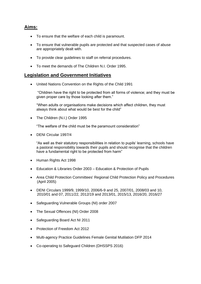#### **Aims:**

- To ensure that the welfare of each child is paramount.
- To ensure that vulnerable pupils are protected and that suspected cases of abuse are appropriately dealt with.
- To provide clear guidelines to staff on referral procedures.
- To meet the demands of The Children N.I. Order 1995.

#### **Legislation and Government Initiatives**

• United Nations Convention on the Rights of the Child 1991

"Children have the right to be protected from all forms of violence; and they must be given proper care by those looking after them."

"When adults or organisations make decisions which affect children, they must always think about what would be best for the child"

• The Children (N.I.) Order 1995

"The welfare of the child must be the paramount consideration"

• DENI Circular 1997/4

"As well as their statutory responsibilities in relation to pupils' learning, schools have a pastoral responsibility towards their pupils and should recognise that the children have a fundamental right to be protected from harm"

- Human Rights Act 1998
- Education & Libraries Order 2003 Education & Protection of Pupils
- Area Child Protection Committees' Regional Child Protection Policy and Procedures (April 2005)
- DENI Circulars 1999/9, 1999/10, 2006/6-9 and 25, 2007/01, 2008/03 and 10, 2010/01 and 07, 2011/22, 2012/19 and 2013/01, 2015/13, 2016/20, 2016/27
- Safeguarding Vulnerable Groups (NI) order 2007
- The Sexual Offences (NI) Order 2008
- Safeguarding Board Act NI 2011
- Protection of Freedom Act 2012
- Multi-agency Practice Guidelines Female Genital Mutilation DFP 2014
- Co-operating to Safeguard Children (DHSSPS 2016)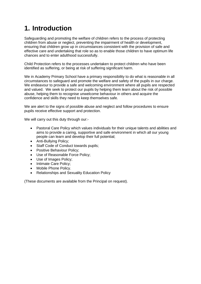## **1. Introduction**

Safeguarding and promoting the welfare of children refers to the process of protecting children from abuse or neglect, preventing the impairment of health or development, ensuring that children grow up in circumstances consistent with the provision of safe and effective care and undertaking that role so as to enable those children to have optimum life chances and to enter adulthood successfully.

Child Protection refers to the processes undertaken to protect children who have been identified as suffering, or being at risk of suffering significant harm.

We in Academy Primary School have a primary responsibility to do what is reasonable in all circumstances to safeguard and promote the welfare and safety of the pupils in our charge. We endeavour to provide a safe and welcoming environment where all pupils are respected and valued. We seek to protect our pupils by helping them learn about the risk of possible abuse, helping them to recognise unwelcome behaviour in others and acquire the confidence and skills they need to keep themselves safe.

We are alert to the signs of possible abuse and neglect and follow procedures to ensure pupils receive effective support and protection.

We will carry out this duty through our:-

- Pastoral Care Policy which values individuals for their unique talents and abilities and aims to provide a caring, supportive and safe environment in which all our young people can learn and develop their full potential;
- Anti-Bullying Policy;
- Staff Code of Conduct towards pupils;
- Positive Behaviour Policy;
- Use of Reasonable Force Policy;
- Use of Images Policy;
- Intimate Care Policy;
- Mobile Phone Policy.
- Relationships and Sexuality Education Policy

(These documents are available from the Principal on request).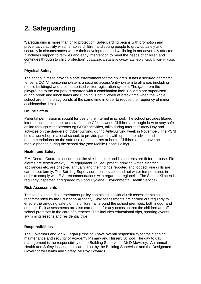## **2. Safeguarding**

'Safeguarding is more than child protection. Safeguarding begins with promotion and preventative activity which enables children and young people to grow up safely and securely in circumstances where their development and wellbeing is not adversely affected. It includes support to families and early intervention to meet the needs of children and continues through to child protection' *(Co-operating to Safeguard Children and Young People in Northern Ireland 2016)*

#### **Physical Safety**

The school aims to provide a safe environment for the children. It has a secured perimeter fence, a CCTV monitoring system, a secured access/entry system to all areas (including mobile buildings) and a computerised visitor registration system. The gate from the playground to the car park is secured with a combination lock. Children are supervised during break and lunch times and running is not allowed at break time when the whole school are in the playgrounds at the same time in order to reduce the frequency of minor accidents/incidents.

#### **Online Safety**

Parental permission is sought for use of the internet in school. The school provides filtered internet access to pupils and staff on the C2k network. Children are taught how to stay safe online through class lessons eg CEOP activities, talks during Internet Safety Day and activities on the dangers of cyber bullying, during Anti-Bullying week in November. The PSNI hold a workshop in a local school, to provide parents with up to date advice and recommendations on the safe use of the internet at home. Children do not have access to mobile phones during the school day (see Mobile Phone Policy).

#### **Health and Safety**

E.A. Central Contracts ensure that the site is secure and its contents are fit for purpose. Fire alarms are tested weekly. Fire equipment, PE equipment, drinking water, electrical appliances etc. are checked annually and the findings reported and logged. Fire drills are carried out termly. The Building Supervisor monitors cold and hot water temperatures in order to comply with E.A. recommendations with regard to Legionella. The School Kitchen is regularly inspected and graded by Food Hygiene (Environmental Health Service).

#### **Risk Assessments**

The school has a risk assessment policy containing individual risk assessments as recommended by the Education Authority. Risk assessments are carried out regularly to ensure the on-going safety of the children all around the school premises, both indoor and outdoor. Risk assessments are also carried out for any occasion that the children are off school premises in the care of a teacher. This includes educational trips, sporting events, swimming lessons and residential trips.

#### **Responsibilities**

The Governors and Mr R. Fegan (Principal) have overall responsibility for the cleaning, maintenance and security of Academy Primary and Nursery School. The day to day management is the responsibility of the Building Supervisor, Mr D McAuley. An annual Health and Safety inspection is carried out by the Building Supervisor and the Designated Governor for Health and Safety, Mr Roy Edwards.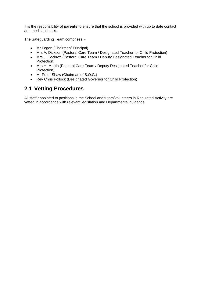It is the responsibility of **parents** to ensure that the school is provided with up to date contact and medical details.

The Safeguarding Team comprises: -

- Mr Fegan (Chairman/ Principal)
- Mrs A. Dickson (Pastoral Care Team / Designated Teacher for Child Protection)
- Mrs J. Cockroft (Pastoral Care Team / Deputy Designated Teacher for Child Protection)
- Mrs H. Martin (Pastoral Care Team / Deputy Designated Teacher for Child Protection)
- Mr Peter Shaw (Chairman of B.O.G.)
- Rev Chris Pollock (Designated Governor for Child Protection)

### **2.1 Vetting Procedures**

All staff appointed to positions in the School and tutors/volunteers in Regulated Activity are vetted in accordance with relevant legislation and Departmental guidance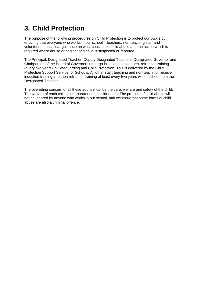### **3. Child Protection**

The purpose of the following procedures on Child Protection is to protect our pupils by ensuring that everyone who works in our school – teachers, non-teaching staff and volunteers – has clear guidance on what constitutes child abuse and the action which is required where abuse or neglect of a child is suspected or reported.

The Principal, Designated Teacher, Deputy Designated Teachers, Designated Governor and Chairperson of the Board of Governors undergo initial and subsequent refresher training (every two years) in Safeguarding and Child Protection. This is delivered by the Child Protection Support Service for Schools. All other staff, teaching and non-teaching, receive induction training and then refresher training at least every two years within school from the Designated Teacher.

The overriding concern of all these adults must be the care, welfare and safety of the child. The welfare of each child is our paramount consideration. The problem of child abuse will not be ignored by anyone who works in our school, and we know that some forms of child abuse are also a criminal offence.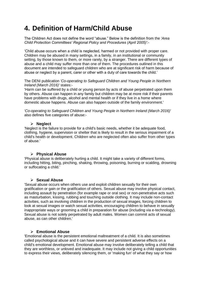### **4. Definition of Harm/Child Abuse**

The Children Act does not define the word "abuse." Below is the definition from the *'Area Child Protection Committees' Regional Policy and Procedures (April 2005)':-*

'Child abuse occurs when a child is neglected, harmed or not provided with proper care. Children may be abused in many settings, in a family, in an institutional or community setting, by those known to them, or more rarely, by a stranger. There are different types of abuse and a child may suffer more than one of them. The procedures outlined in this document are intended to safeguard children who are at significant risk of harm because of abuse or neglect by a parent, carer or other with a duty of care towards the child.'

The DENI publication *'Co-operating to Safeguard Children and Young People in Northern Ireland (March 2016)'* states:-

'Harm can be suffered by a child or young person by acts of abuse perpetrated upon them by others. Abuse can happen in any family but children may be at more risk if their parents have problems with drugs, alcohol and mental health or if they live in a home where domestic abuse happens. Abuse can also happen outside of the family environment.'

*'Co-operating to Safeguard Children and Young People in Northern Ireland (March 2016)'* also defines five categories of abuse:-

#### ➢ **Neglect**

'Neglect is the failure to provide for a child's basic needs, whether it be adequate food, clothing, hygiene, supervision or shelter that is likely to result in the serious impairment of a child's health or development. Children who are neglected often also suffer from other types of abuse.'

#### ➢ **Physical Abuse**

'Physical abuse is deliberately hurting a child. It might take a variety of different forms, including hitting, biting, pinching, shaking, throwing, poisoning, burning or scalding, drowning or suffocating a child.'

#### ➢ **Sexual Abuse**

'Sexual abuse occurs when others use and exploit children sexually for their own gratification or gain or the gratification of others. Sexual abuse may involve physical contact, including assault by penetration (for example rape or oral sex) or non-penetrative acts such as masturbation, kissing, rubbing and touching outside clothing. It may include non-contact activities, such as involving children in the production of sexual images, forcing children to look at sexual images or watch sexual activities, encouraging children to behave in sexually inappropriate ways or grooming a child in preparation for abuse (including via e-technology). Sexual abuse is not solely perpetrated by adult males. Women can commit acts of sexual abuse, as can other children.'

#### ➢ **Emotional Abuse**

'Emotional abuse is the persistent emotional maltreatment of a child. It is also sometimes called psychological abuse and it can have severe and persistent adverse effects on a child's emotional development. Emotional abuse may involve deliberately telling a child that they are worthless, or unloved and inadequate. It may include not giving a child opportunities to express their views, deliberately silencing them, or 'making fun' of what they say or how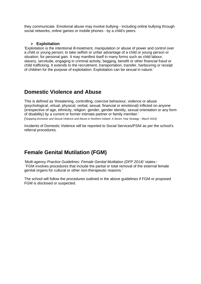they communicate. Emotional abuse may involve bullying - including online bullying through social networks, online games or mobile phones - by a child's peers.

#### ➢ **Exploitation**

'Exploitation is the intentional ill-treatment, manipulation or abuse of power and control over a child or young person; to take selfish or unfair advantage of a child or young person or situation, for personal gain. It may manifest itself in many forms such as child labour, slavery, servitude, engaging in criminal activity, begging, benefit or other financial fraud or child trafficking. It extends to the recruitment, transportation, transfer, harbouring or receipt of children for the purpose of exploitation. Exploitation can be sexual in nature.'

### **Domestic Violence and Abuse**

This is defined as 'threatening, controlling, coercive behaviour, violence or abuse (psychological, virtual, physical, verbal, sexual, financial or emotional) inflicted on anyone (irrespective of age, ethnicity, religion. gender, gender identity, sexual orientation or any form of disability) by a current or former intimate partner or family member.' *(Stopping Domestic and Sexual Violence and Abuse in Northern Ireland A Seven Year Strategy - March 2016)*

Incidents of Domestic Violence will be reported to Social Services/PSNI as per the school's referral procedures.

### **Female Genital Mutilation (FGM)**

*'Multi-agency Practice Guidelines: Female Genital Mutilation (DFP 2014)'* states:- 'FGM involves procedures that include the partial or total removal of the external female genital organs for cultural or other non-therapeutic reasons.'

The school will follow the procedures outlined in the above guidelines if FGM or proposed FGM is disclosed or suspected.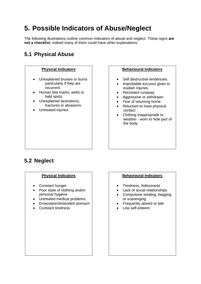## **5. Possible Indicators of Abuse/Neglect**

The following illustrations outline common indicators of abuse and neglect. These signs **are not a checklist**; indeed many of them could have other explanations.

### **5.1 Physical Abuse**



- Self destructive tendencies.
- Improbable excuses given to explain injuries.
- Persistent runaway
- Aggressive or withdrawn
- Fear of returning home.
- Reluctant to have physical contact
- Clothing inappropriate to weather - worn to hide part of the body

### **5.2 Neglect**

- Constant hunger
- Poor state of clothing and/or personal hygiene
- Untreated medical problems
- Emaciation/distended stomach
- Constant tiredness

#### **Physical Indicators Behavioural Indicators**

- Tiredness, listlessness
- Lack of social relationships
- Compulsive stealing, begging or scavenging
- Frequently absent or late
- Low self-esteem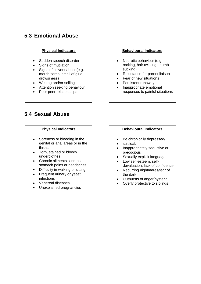### **5.3 Emotional Abuse**

- Sudden speech disorder
- Signs of mutilation
- Signs of solvent abuse(e.g. mouth sores, smell of glue, drowsiness)
- Wetting and/or soiling
- Attention seeking behaviour
- Poor peer relationships

### **5.4 Sexual Abuse**

- Soreness or bleeding in the genital or anal areas or in the throat
- Torn, stained or bloody underclothes
- Chronic ailments such as stomach pains or headaches
- Difficulty in walking or sitting
- Frequent urinary or yeast infections
- Venereal diseases
- Unexplained pregnancies

#### **Physical Indicators Behavioural Indicators**

- Neurotic behaviour (e.g. rocking, hair twisting, thumb sucking)
- Reluctance for parent liaison
- Fear of new situations
- Persistent runaway
- Inappropriate emotional responses to painful situations

#### **Physical Indicators Behavioural Indicators**

- Be chronically depressed/
- suicidal.
- Inappropriately seductive or precocious
- Sexually explicit language
- Low self-esteem, selfdevaluation, lack of confidence
- Recurring nightmares/fear of the dark
- Outbursts of anger/hysteria
- Overly protective to siblings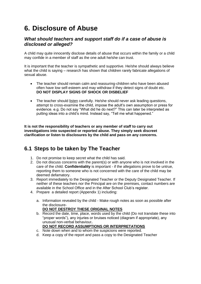### **6. Disclosure of Abuse**

### *What should teachers and support staff do if a case of abuse is disclosed or alleged?*

A child may quite innocently disclose details of abuse that occurs within the family or a child may confide in a member of staff as the one adult he/she can trust.

It is important that the teacher is sympathetic and supportive. He/she should always believe what the child is saying – research has shown that children rarely fabricate allegations of sexual abuse.

- The teacher should remain calm and reassuring-children who have been abused often have low self-esteem and may withdraw if they detect signs of doubt etc. **DO NOT DISPLAY SIGNS OF SHOCK OR DISBELIEF**
- The teacher should listen carefully. He/she should never ask leading questions, attempt to cross-examine the child, impose the adult's own assumption or press for evidence. e.g. Do not say "What did he do next?" This can later be interpreted as putting ideas into a child's mind. Instead say, "Tell me what happened."

**It is not the responsibility of teachers or any member of staff to carry out investigations into suspected or reported abuse. They simply seek discreet clarification or listen to disclosures by the child and pass on any concerns.**

### **6.1 Steps to be taken by The Teacher**

- 1. Do not promise to keep secret what the child has said.
- 2. Do not discuss concerns with the parent(s) or with anyone who is not involved in the care of the child. **Confidentiality** is important - if the allegations prove to be untrue, reporting them to someone who is not concerned with the care of the child may be deemed defamatory.
- 3. Report immediately to the Designated Teacher or the Deputy Designated Teacher. If neither of these teachers nor the Principal are on the premises, contact numbers are available in the School Office and in the After School Club's register.
- 4. Prepare a detailed report (Appendix 1) including:
	- a. Information revealed by the child Make rough notes as soon as possible after the disclosure-

#### **DO NOT DESTROY THESE ORIGINAL NOTES**

b. Record the date, time, place, words used by the child (Do not translate these into "proper words"), any injuries or bruises noticed (diagram if appropriate), any unusual non-verbal behaviour**.** 

#### **DO NOT RECORD ASSUMPTIONS OR INTERPRETATIONS**

- c. Note down when and to whom the suspicions were reported.
- d. Keep a copy of the report and pass a copy to the Designated Teacher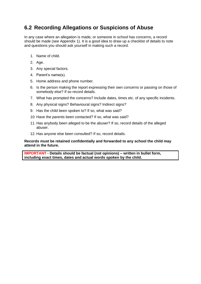### **6.2 Recording Allegations or Suspicions of Abuse**

In any case where an allegation is made, or someone in school has concerns, a record should be made (see Appendix 1). It is a good idea to draw up a checklist of details to note and questions you should ask yourself in making such a record.

- 1. Name of child.
- 2. Age.
- 3. Any special factors.
- 4. Parent's name(s).
- 5. Home address and phone number.
- 6. Is the person making the report expressing their own concerns or passing on those of somebody else? If so record details.
- 7. What has prompted the concerns? Include dates, times etc. of any specific incidents.
- 8. Any physical signs? Behavioural signs? Indirect signs?
- 9. Has the child been spoken to? If so, what was said?
- 10. Have the parents been contacted? If so, what was said?
- 11. Has anybody been alleged to be the abuser? If so, record details of the alleged abuser.
- 12. Has anyone else been consulted? If so, record details.

#### **Records must be retained confidentially and forwarded to any school the child may attend in the future.**

**IMPORTANT - Details should be factual (not opinions) – written in bullet form, including exact times, dates and actual words spoken by the child.**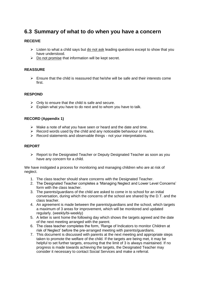### **6.3 Summary of what to do when you have a concern**

#### **RECEIVE**

- $\triangleright$  Listen to what a child says but do not ask leading questions except to show that you have understood.
- $\triangleright$  Do not promise that information will be kept secret.

#### **REASSURE**

 $\triangleright$  Ensure that the child is reassured that he/she will be safe and their interests come first.

#### **RESPOND**

- $\triangleright$  Only to ensure that the child is safe and secure.
- $\triangleright$  Explain what you have to do next and to whom you have to talk.

#### **RECORD (Appendix 1)**

- ➢ Make a note of what you have seen or heard and the date and time.
- $\triangleright$  Record words used by the child and any noticeable behaviour or marks.
- ➢ Record statements and observable things not your interpretations.

#### **REPORT**

➢ Report to the Designated Teacher or Deputy Designated Teacher as soon as you have any concern for a child.

We have instigated a process for monitoring and managing children who are at risk of neglect.

- 1. The class teacher should share concerns with the Designated Teacher.
- 2. The Designated Teacher completes a 'Managing Neglect and Lower Level Concerns' form with the class teacher.
- 3. The parents/guardians of the child are asked to come in to school for an initial conversation, during which the concerns of the school are shared by the D.T. and the class teacher.
- 4. An agreement is made between the parents/guardians and the school, which targets a maximum of 3 areas for improvement, which will be monitored and updated regularly. (weekly/bi-weekly)
- 5. A letter is sent home the following day which shows the targets agreed and the date of the next meeting arranged with the parent.
- 6. The class teacher completes the form, 'Range of Indicators to monitor Children at risk of Neglect' before the pre-arranged meeting with parents/guardians.
- 7. This document is discussed with parents at the next meeting and appropriate steps taken to promote the welfare of the child. If the targets are being met, it may be helpful to set further targets, ensuring that the limit of 3 is always maintained. If no progress is made towards achieving the targets, the Designated Teacher may consider it necessary to contact Social Services and make a referral.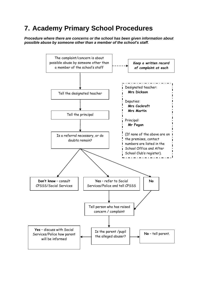### **7. Academy Primary School Procedures**

*Procedure where there are concerns or the school has been given information about possible abuse by someone other than a member of the school's staff.*

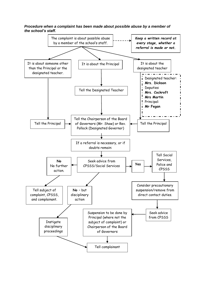#### *Procedure when a complaint has been made about possible abuse by a member of the school's staff.*

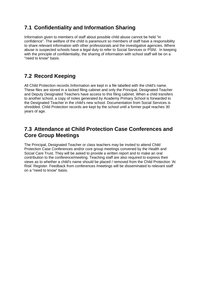### **7.1 Confidentiality and Information Sharing**

Information given to members of staff about possible child abuse cannot be held "in confidence". The welfare of the child is paramount so members of staff have a responsibility to share relevant information with other professionals and the investigative agencies. Where abuse is suspected schools have a legal duty to refer to Social Services or PSNI. In keeping with the principle of confidentiality, the sharing of information with school staff will be on a "need to know" basis.

### **7.2 Record Keeping**

All Child Protection records /information are kept in a file labelled with the child's name. These files are stored in a locked filing cabinet and only the Principal, Designated Teacher and Deputy Designated Teachers have access to this filing cabinet. When a child transfers to another school, a copy of notes generated by Academy Primary School is forwarded to the Designated Teacher in the child's new school. Documentation from Social Services is shredded. Child Protection records are kept by the school until a former pupil reaches 30 years of age.

### **7.3 Attendance at Child Protection Case Conferences and Core Group Meetings**

The Principal, Designated Teacher or class teachers may be invited to attend Child Protection Case Conferences and/or core group meetings convened by the Health and Social Care Trust. They will be asked to provide a written report and to make an oral contribution to the conference/meeting. Teaching staff are also required to express their views as to whether a child's name should be placed / removed from the Child Protection 'At Risk' Register. Feedback from conferences /meetings will be disseminated to relevant staff on a "need to know" basis.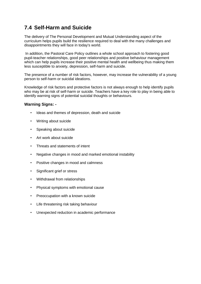### **7.4 Self-Harm and Suicide**

The delivery of The Personal Development and Mutual Understanding aspect of the curriculum helps pupils build the resilience required to deal with the many challenges and disappointments they will face in today's world.

In addition, the Pastoral Care Policy outlines a whole school approach to fostering good pupil-teacher relationships, good peer relationships and positive behaviour management which can help pupils increase their positive mental health and wellbeing thus making them less susceptible to anxiety, depression, self-harm and suicide.

The presence of a number of risk factors, however, may increase the vulnerability of a young person to self-harm or suicidal ideations.

Knowledge of risk factors and protective factors is not always enough to help identify pupils who may be at risk of self-harm or suicide. Teachers have a key role to play in being able to identify warning signs of potential suicidal thoughts or behaviours.

#### **Warning Signs: -**

- Ideas and themes of depression, death and suicide
- Writing about suicide
- Speaking about suicide
- Art work about suicide
- Threats and statements of intent
- Negative changes in mood and marked emotional instability
- Positive changes in mood and calmness
- Significant grief or stress
- Withdrawal from relationships
- Physical symptoms with emotional cause
- Preoccupation with a known suicide
- Life threatening risk taking behaviour
- Unexpected reduction in academic performance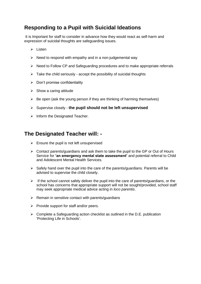### **Responding to a Pupil with Suicidal Ideations**

It is Important for staff to consider in advance how they would react as self-harm and expression of suicidal thoughts are safeguarding issues.

- ➢ Listen
- $\triangleright$  Need to respond with empathy and in a non-judgemental way
- ➢ Need to Follow CP and Safeguarding procedures and to make appropriate referrals
- $\triangleright$  Take the child seriously accept the possibility of suicidal thoughts
- $\triangleright$  Don't promise confidentiality
- $\triangleright$  Show a caring attitude
- $\triangleright$  Be open (ask the young person if they are thinking of harming themselves)
- ➢ Supervise closely **the pupil should not be left unsupervised**
- $\triangleright$  Inform the Designated Teacher.

### **The Designated Teacher will: -**

- $\triangleright$  Ensure the pupil is not left unsupervised
- $\triangleright$  Contact parents/guardians and ask them to take the pupil to the GP or Out of Hours Service for **'an emergency mental state assessment'** and potential referral to Child and Adolescent Mental Health Services.
- $\triangleright$  Safely hand over the pupil into the care of the parents/guardians. Parents will be advised to supervise the child closely.
- $\triangleright$  If the school cannot safely deliver the pupil into the care of parents/guardians, or the school has concerns that appropriate support will not be sought/provided, school staff may seek appropriate medical advice acting in *loco parentis*.
- $\triangleright$  Remain in sensitive contact with parents/guardians
- $\triangleright$  Provide support for staff and/or peers.
- $\triangleright$  Complete a Safeguarding action checklist as outlined in the D.E. publication 'Protecting Life in Schools'.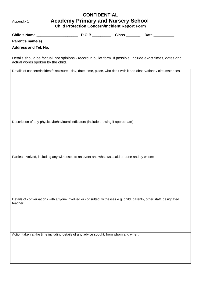### **CONFIDENTIAL** Appendix 1 **Academy Primary and Nursery School Child Protection Concern/Incident Report Form**

| <b>Child's Name</b>         | D.O.B. | <b>Class</b> | Date |
|-----------------------------|--------|--------------|------|
| Parent's name(s)            |        |              |      |
| <b>Address and Tel. No.</b> |        |              |      |

Details should be factual, not opinions - record in bullet form. If possible, include exact times, dates and actual words spoken by the child.

Details of concern/incident/disclosure - day, date, time, place, who dealt with it and observations / circumstances.

Description of any physical/behavioural indicators (include drawing if appropriate)

Parties Involved, including any witnesses to an event and what was said or done and by whom:

Details of conversations with anyone involved or consulted: witnesses e.g. child, parents, other staff, designated teacher:

Action taken at the time including details of any advice sought, from whom and when: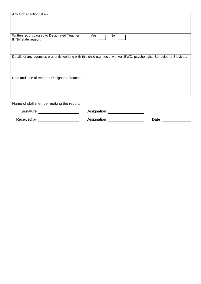| Any further action taken:                                                                                              |             |             |  |  |  |  |
|------------------------------------------------------------------------------------------------------------------------|-------------|-------------|--|--|--|--|
|                                                                                                                        |             |             |  |  |  |  |
| Written report passed to Designated Teacher:<br>If 'No' state reason:                                                  | Yes  <br>No |             |  |  |  |  |
|                                                                                                                        |             |             |  |  |  |  |
| Details of any agencies presently working with this child e.g. social worker, EWO, psychologist, Behavioural Services. |             |             |  |  |  |  |
| Date and time of report to Designated Teacher:                                                                         |             |             |  |  |  |  |
|                                                                                                                        |             |             |  |  |  |  |
| Signature                                                                                                              | Designation |             |  |  |  |  |
| Received by                                                                                                            | Designation | <b>Date</b> |  |  |  |  |